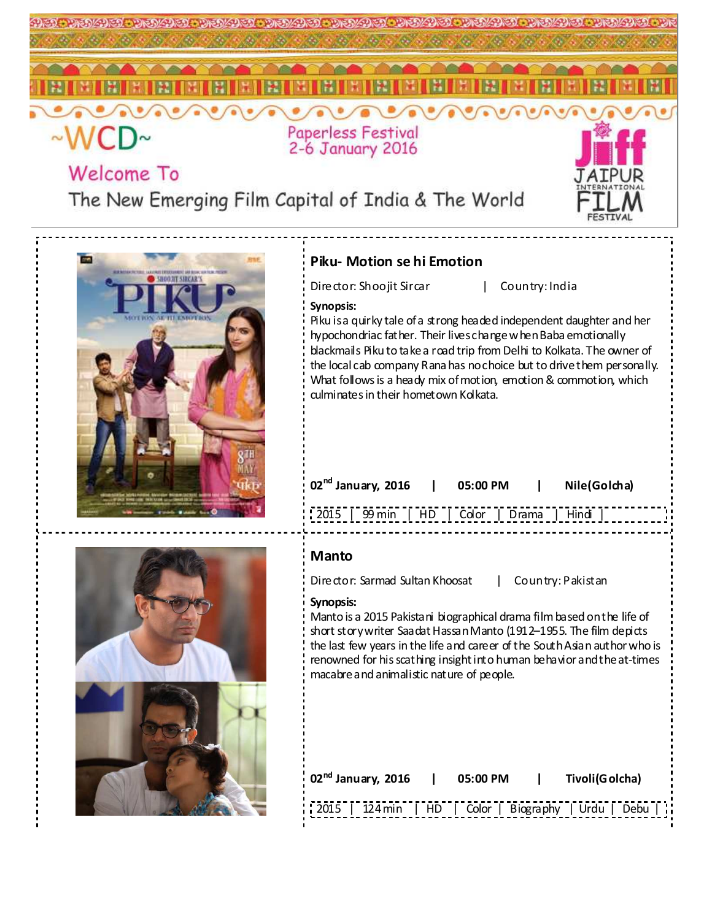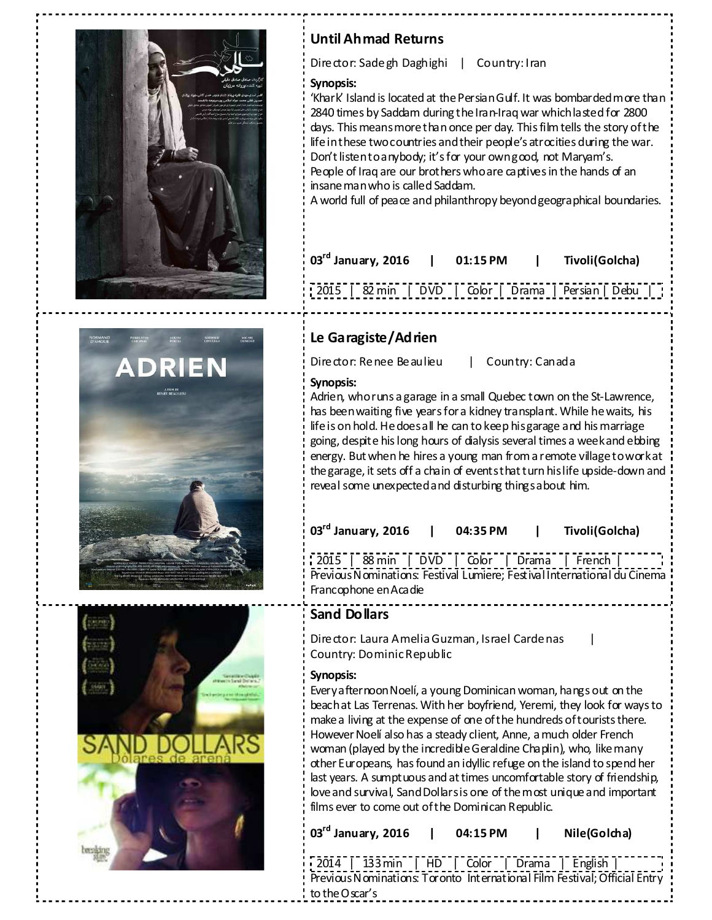

# **Until Ahmad Returns**

**Le Garagiste/Adrien** 

Director: Sadegh Daghighi | Country: Iran

### **Synopsis:**

'Khark' Island is located at the Persian Gulf. It was bombarded more than 2840 times by Saddam during the Iran-Iraq war which lasted for 2800 days. This means more than once per day. This film tells the story of the life in these two countries and their people's atrocities during the war. Don't listen to any body; it's for your own good, not Maryam's. People of Iraq are our brothers who are captives in the hands of an insane man who is called Saddam.

A world full of peace and philanthropy beyond geographical boundaries.

| $103^{\text{rd}}$ January, 2016                      | $1$ 01:15 PM | Tivoli(Golcha) |  |
|------------------------------------------------------|--------------|----------------|--|
| 2015   82 min   DVD   Color   Drama   Persian   Debu |              |                |  |



| Director: Renee Beaulieu<br>Country: Canada                                                                                                                                                                                                                                                                                                                                                                                                                                                                                               |
|-------------------------------------------------------------------------------------------------------------------------------------------------------------------------------------------------------------------------------------------------------------------------------------------------------------------------------------------------------------------------------------------------------------------------------------------------------------------------------------------------------------------------------------------|
| Synopsis:<br>Adrien, whoruns a garage in a small Quebec town on the St-Lawrence,<br>has been waiting five years for a kidney transplant. While he waits, his<br>life is on hold. He does all he can to keep his garage and his marriage<br>going, despite his long hours of dialysis several times a week and ebbing<br>energy. But when he hires a young man from a remote village to work at<br>the garage, it sets off a chain of events that turn his life upside-down and<br>reveal some unexpected and disturbing things about him. |
| 03 <sup>rd</sup> January, 2016<br>Tivoli(Golcha)<br>04:35 PM                                                                                                                                                                                                                                                                                                                                                                                                                                                                              |

2015 | 88 min | DVD | Color | Drama | French | Previous Nominations: Festival Lumiere; Festival International du Cinema Francophone en Acadie

# **Sand Dollars**

Director: Laura Amelia Guzman, Israel Cardenas | Country: Dominic Republic

### **Synopsis:**

Every afternoon Noelí, a young Dominican woman, hangs out on the beach at Las Terrenas. With her boyfriend, Yeremi, they look for ways to make a living at the expense of one of the hundreds of tourists there. However Noelí also has a steady client, Anne, a much older French woman (played by the incredible Geraldine Chaplin), who, like many other Europeans, has found an idyllic refuge on the island to spend her last years. A sumptuous and at times uncomfortable story of friendship, love and survival, Sand Dollars is one of the most unique and important films ever to come out of the Dominican Republic.

**03rd January, 2016 | 04:15 PM | Nile(Golcha)** 

2014 | 133 min | HD | Color | Drama | English | Previous Nominations: Toronto International Film Festival; Official Entry to the Oscar's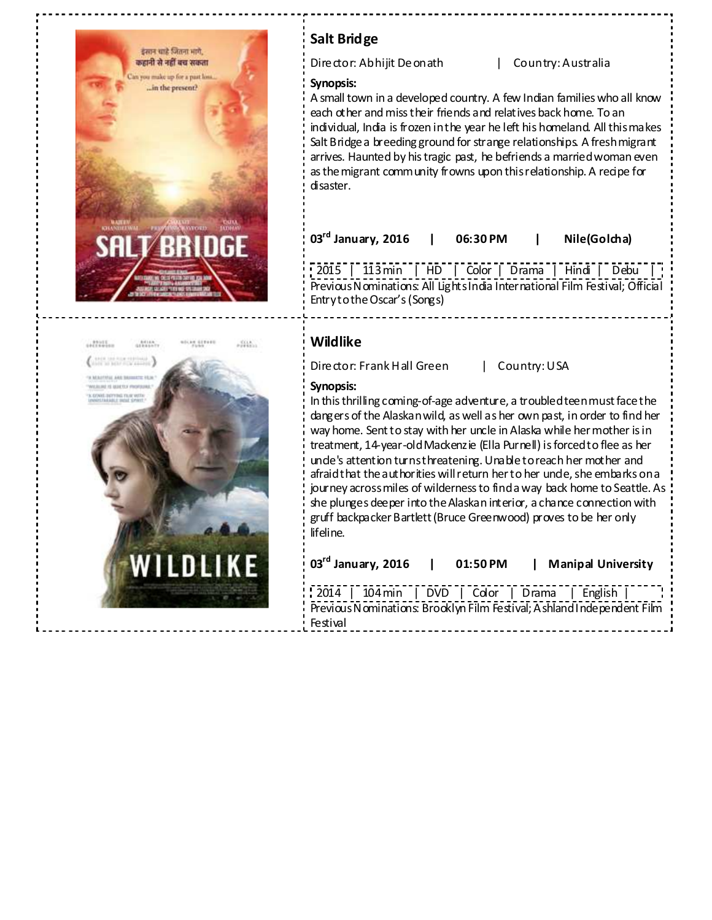



# **Salt Bridge**

Director: Abhijit Deonath | Country: Australia

### **Synopsis:**

A small town in a developed country. A few Indian families who all know each other and miss their friends and relatives back home. To an individual, India is frozen in the year he left his homeland. All this makes Salt Bridge a breeding ground for strange relationships. A fresh migrant arrives. Haunted by his tragic past, he befriends a married woman even as the migrant community frowns upon this relationship. A recipe for disaster.

**03rd January, 2016 | 06:30 PM | Nile(Golcha)** 

2015 | 113 min | HD | Color | Drama | Hindi | Debu | Previous Nominations: All Lights India International Film Festival; Official Entry to the Oscar's (Songs)

### **Wildlike**

Director: Frank Hall Green | Country: USA

### **Synopsis:**

Festival

In this thrilling coming-of-age adventure, a troubled teen must face the dangers of the Alaskan wild, as well as her own past, in order to find her way home. Sent to stay with her uncle in Alaska while her mother is in treatment, 14-year-old Mackenzie (Ella Purnell) is forced to flee as her unde's attention turns threatening. Unable to reach her mother and afraid that the authorities will return her to her unde, she embarks on a journey across miles of wilderness to find a way back home to Seattle. As she plunges deeper into the Alaskan interior, a chance connection with gruff backpacker Bartlett (Bruce Greenwood) proves to be her only lifeline.

| $103^{\text{rd}}$ January, 2016 | $01:50$ PM | <b>Manipal University</b>                                                                                                               |
|---------------------------------|------------|-----------------------------------------------------------------------------------------------------------------------------------------|
|                                 |            | $\frac{1}{2014}$   104 min   DVD   Color   Drama   English  <br>Previous Nominations: Brooklyn Film Festival; A shland Independent Film |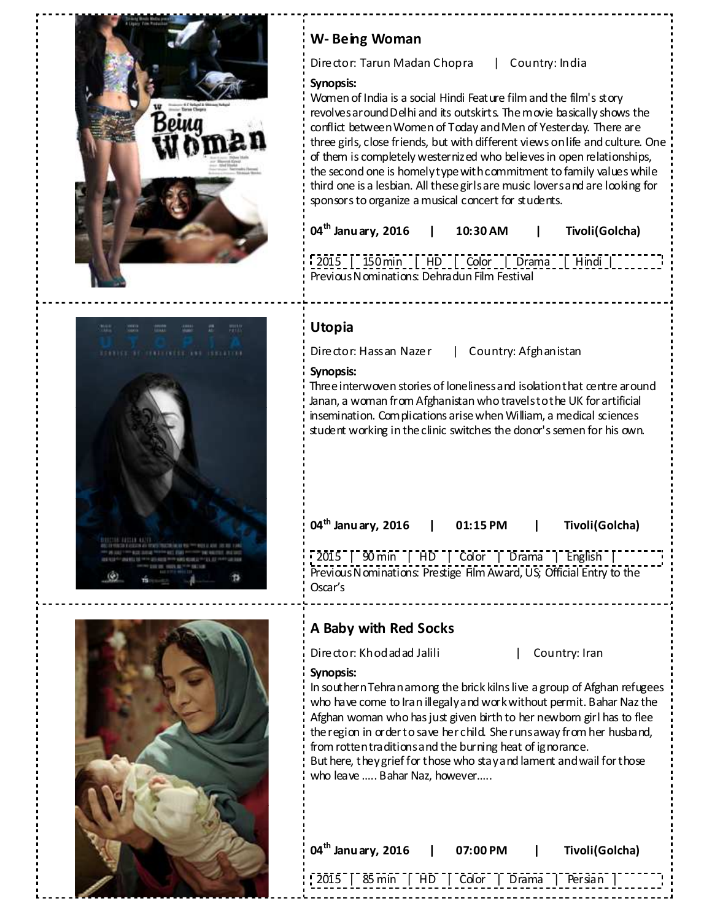

# **W- Being Woman**

Director: Tarun Madan Chopra | Country: India

### **Synopsis:**

Women of India is a social Hindi Feature film and the film's story revolves around Delhi and its outskirts. The movie basically shows the conflict between Women of Today and Men of Yesterday. There are three girls, close friends, but with different views on life and culture. One of them is completely westernized who believes in open relationships, the second one is homely type with commitment to family values while third one is a lesbian. All these girls are music lovers and are looking for sponsors to organize a musical concert for students.

| 04 <sup>th</sup> Janu ary, 2016 | 10:30 AM | Tivoli(Golcha) |  |
|---------------------------------|----------|----------------|--|
|                                 |          |                |  |

2015 | 150 min | HD | Color | Drama | Hindi | Previous Nominations: Dehradun Film Festival

# **Utopia**

Director: Hassan Nazer | Country: Afghanistan

### **Synopsis:**

Three interwoven stories of loneliness and isolation that centre around Janan, a woman from Afghanistan who travels to the UK for artificial insemination. Complications arise when William, a medical sciences student working in the clinic switches the donor's semen for his own.

**04th Janu ary, 2016 | 01:15 PM | Tivoli(Golcha)** 

| 2015 | 90 min | HD | Color | Drama | English | Previous Nominations: Prestige Film Award, US; Official Entry to the Oscar's

# **A Baby with Red Socks**

Director: Khodadad Jalili | Country: Iran

### **Synopsis:**

In southern Tehran among the brick kilns live a group of Afghan refugees who have come to Iran illegaly and work without permit. Bahar Naz the Afghan woman who has just given birth to her newbom girl has to flee the region in order to save her child. She runs away from her husband, from rotten traditions and the burning heat of ignorance. But here, they grief for those who stay and lament and wail for those who leave ….. Bahar Naz, however…..



| $04th$ January, 2016   07:00 PM   Tivoli(Golcha) |  |  |
|--------------------------------------------------|--|--|
| 2015   85 min   HD   Color   Drama   Persian     |  |  |

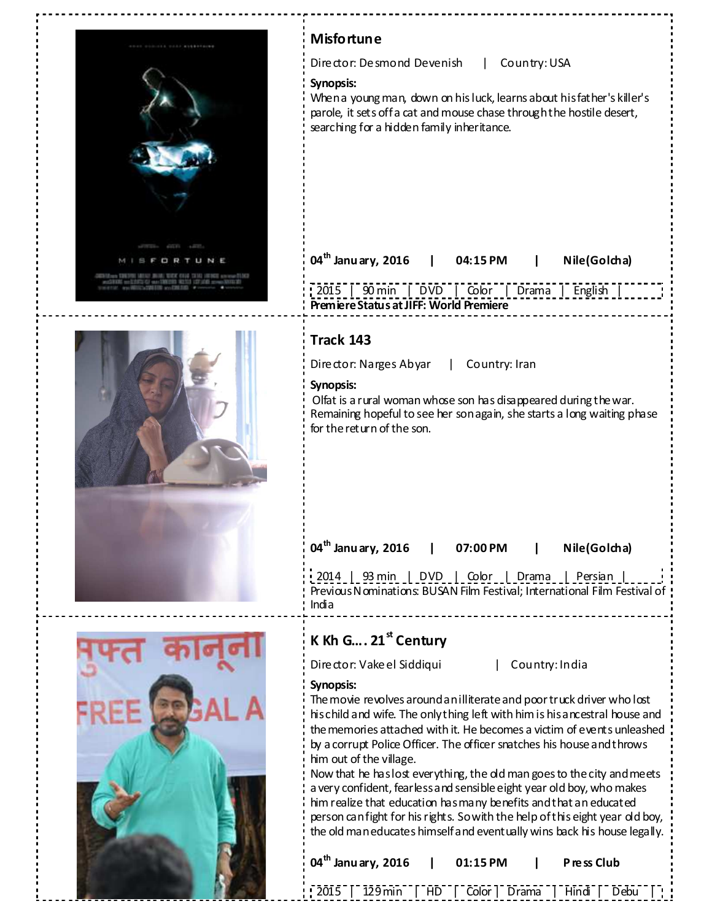

| <b>Misfortune</b>                                                                                                                                                                                                                                   |
|-----------------------------------------------------------------------------------------------------------------------------------------------------------------------------------------------------------------------------------------------------|
| Director: Desmond Devenish<br>Country: USA<br>L                                                                                                                                                                                                     |
| Synopsis:<br>When a young man, down on his luck, learns about his father's killer's<br>parole, it sets off a cat and mouse chase through the hostile desert,<br>searching for a hidden family inheritance.                                          |
| $04^{\text{th}}$ Janu ary, 2016   04:15 PM<br>Nile(Golcha)<br>L<br>$\sqrt{2015}$ $\sqrt{90}$ min $\sqrt{00}$ $\sqrt{00}$ $\sqrt{00}$ $\sqrt{00}$ $\sqrt{00}$ $\sqrt{00}$ $\sqrt{00}$<br>  English<br><b>Premiere Status at JIFF: World Premiere</b> |
| Track 143                                                                                                                                                                                                                                           |
| Director: Narges Abyar<br>  Country: Iran                                                                                                                                                                                                           |
| Synopsis:<br>Olfat is a rural woman whose son has disappeared during the war.<br>Remaining hopeful to see her son again, she starts a long waiting phase<br>for the return of the son.                                                              |
| 04 <sup>th</sup> January, 2016   07:00 PM   Nile (Golcha)<br>  2014   93 min   DVD   Color   Drama   Persian<br>Previous Nominations: BUSAN Film Festival; International Film Festival of<br>India                                                  |
|                                                                                                                                                                                                                                                     |
| K Kh G 21 <sup>st</sup> Century                                                                                                                                                                                                                     |
| Director: Vake el Siddiqui<br>Country: India<br>$\mathbf{L}$                                                                                                                                                                                        |
| Synopsis:<br>The movie revolves around an illiterate and poor truck driver who lost<br>his child and wife. The only thing left with him is his ancestral house and<br>the memories attached with it. He becomes a victim of events unleashed        |

him out of the village. Now that he has lost everything, the old man goes to the city and meets a very confident, fearless and sensible eight year old boy, who makes him realize that education has many benefits and that an educated person can fight for his rights. So with the help of this eight year old boy, the old man educates himself and eventually wins back his house legally.



| $\frac{1}{2}$ 04 <sup>th</sup> January, 2016   01:15 PM   Press Club |  |  |  |
|----------------------------------------------------------------------|--|--|--|
| 2015   129 min   HD   Color   Drama   Hindi   Debu                   |  |  |  |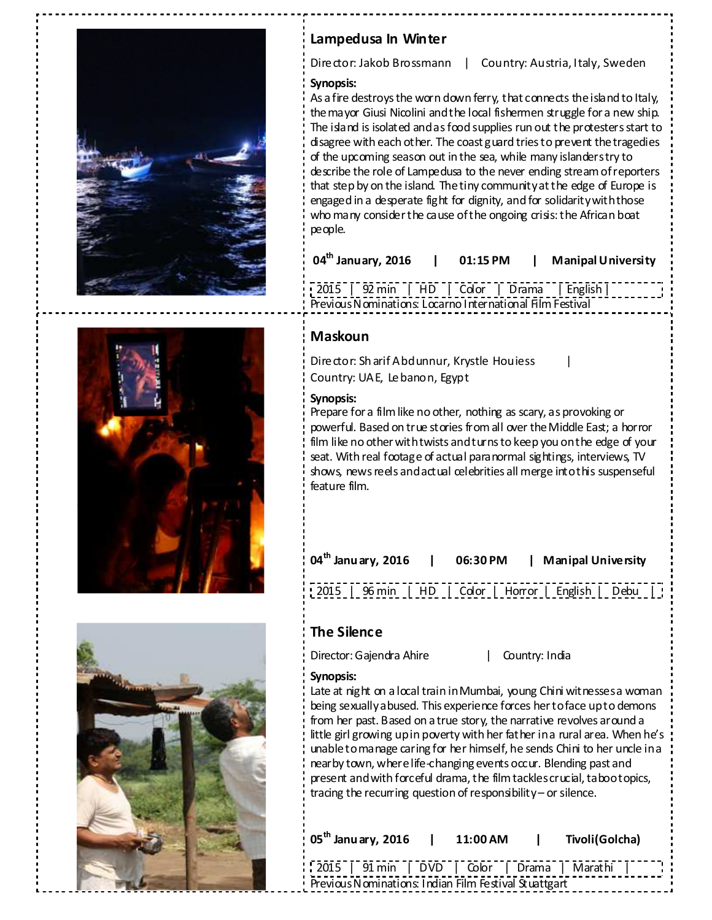

# **Lampedusa In Winter**

Director: Jakob Brossmann | Country: Austria, Italy, Sweden

### **Synopsis:**

As a fire destroys the worn down ferry, that connects the island to Italy, the mayor Giusi Nicolini and the local fishermen struggle for a new ship. The island is isolated and as food supplies run out the protesters start to disagree with each other. The coast guard tries to prevent the tragedies of the upcoming season out in the sea, while many islanders try to describe the role of Lampedusa to the never ending stream of reporters that step by on the island. The tiny community at the edge of Europe is engaged in a desperate fight for dignity, and for solidarity with those who many consider the cause of the ongoing crisis: the African boat people.

| $04th$ January, 2016 |  | 01:15 PM |  | <b>Manipal University</b> |
|----------------------|--|----------|--|---------------------------|
|----------------------|--|----------|--|---------------------------|

2015 | 92 min | HD | Color | Drama | English | Previous Nominations: Locarno International Film Festival

# **Maskoun**

Director: Sh arif Abdunnur, Krystle Houiess Country: UAE, Lebanon, Egypt

### **Synopsis:**

Prepare for a film like no other, nothing as scary, as provoking or powerful. Based on true stories from all over the Middle East; a horror film like no other with twists and turns to keep you on the edge of your seat. With real footage of actual paranormal sightings, interviews, TV shows, news reels and actual celebrities all merge into this suspenseful feature film.

| $\frac{1}{3}$ 04 <sup>th</sup> Janu ary, 2016   06:30 PM   Manipal University |  |  |
|-------------------------------------------------------------------------------|--|--|
| 2015   96 min   HD   Color   Horror   English   Debu                          |  |  |

# **The Silence**

Director: Gajendra Ahire | Country: India

### **Synopsis:**

Late at night on a local train in Mumbai, young Chini witnesses a woman being sexually abused. This experience forces her to face up to demons from her past. Based on a true story, the narrative revolves around a little girl growing up in poverty with her father in a rural area. When he's unable to manage caring for her himself, he sends Chini to her uncle in a nearby town, where life-changing events occur. Blending past and present and with forceful drama, the film tackles crucial, taboo topics, tracing the recurring question of responsibility – or silence.

| $05^{\text{th}}$ Janu ary, 2016                       | 11:00 AM | and the state | Tivoli(Golcha) |  |
|-------------------------------------------------------|----------|---------------|----------------|--|
| 2015   91 min   DVD   Color   Drama   Marathi         |          |               |                |  |
| Previous Nominations: Indian Film Festival Stuattgart |          |               |                |  |



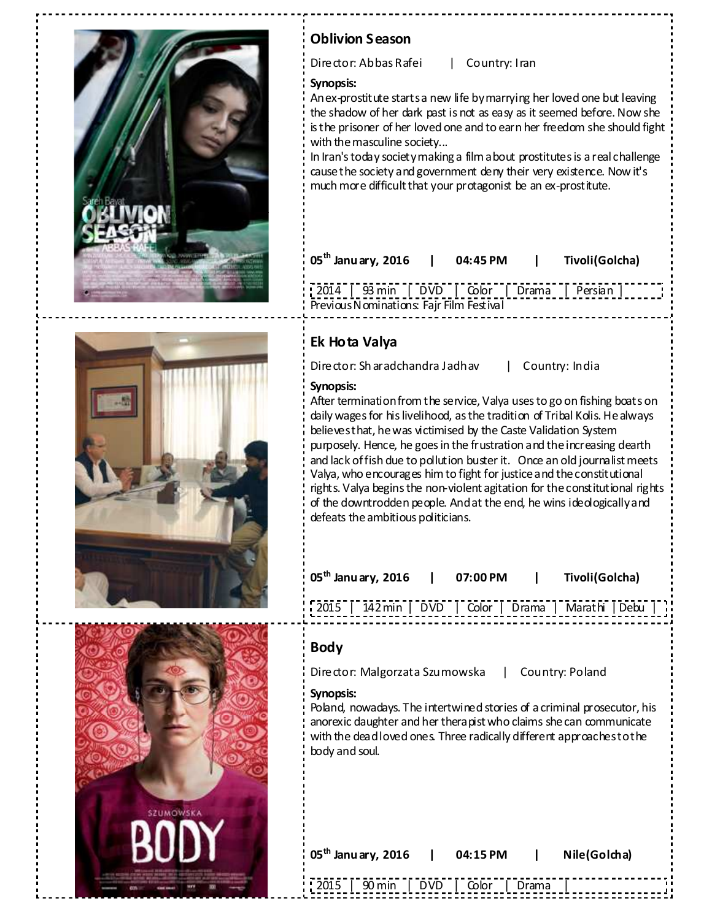

# **Oblivion Season**

Director: Abbas Rafei | Country: Iran

### **Synopsis:**

An ex-prostitute starts a new life by marrying her loved one but leaving the shadow of her dark past is not as easy as it seemed before. Now she is the prisoner of her loved one and to earn her freedom she should fight with the masculine society...

In Iran's today society making a film about prostitutes is a real challenge cause the society and government deny their very existence. Now it's much more difficult that your protagonist be an ex-prostitute.

| $05^{\text{th}}$ Janu ary, 2016               | $\mathbf{1}$ | 04:45 PM | $\mathbf{1}$ | Tivoli(Golcha) |
|-----------------------------------------------|--------------|----------|--------------|----------------|
| 2014   93 min   DVD   Color   Drama   Persian |              |          |              |                |
| Previous Nominations: Fajr Film Festival      |              |          |              |                |





# **Ek Hota Valya**

**Synopsis:**

Director: Sh aradchandra Jadhav | Country: India

After termination from the service, Valya uses to go on fishing boats on daily wages for his livelihood, as the tradition of Tribal Kolis. He always believes that, he was victimised by the Caste Validation System purposely. Hence, he goes in the frustration and the increasing dearth and lack of fish due to pollution buster it. Once an old journalist meets Valya, who encourages him to fight for justice and the constitutional rights. Valya begins the non-violent agitation for the constitutional rights of the downtrodden people. And at the end, he wins ideologically and defeats the ambitious politicians.

| 05 <sup>th</sup> Janu ary, 2016 | 07:00 PM | Tivoli(Golcha) |
|---------------------------------|----------|----------------|
|                                 |          |                |

2015 | 142 min | DVD | Color | Drama | Marathi | Debu |

### **Body**

Director: Malgorzata Szumowska | Country: Poland

### **Synopsis:**

Poland, nowadays. The intertwined stories of a criminal prosecutor, his anorexic daughter and her thera pist who claims she can communicate with the dead loved ones. Three radically different approaches to the body and soul.

|  |  | $\,$ 05 <sup>th</sup> Janu ary, 2016 |  |
|--|--|--------------------------------------|--|
|  |  |                                      |  |

**05th Janu ary, 2016 | 04:15 PM | Nile(Golcha)** 

2015 | 90 min | DVD | Color | Drama |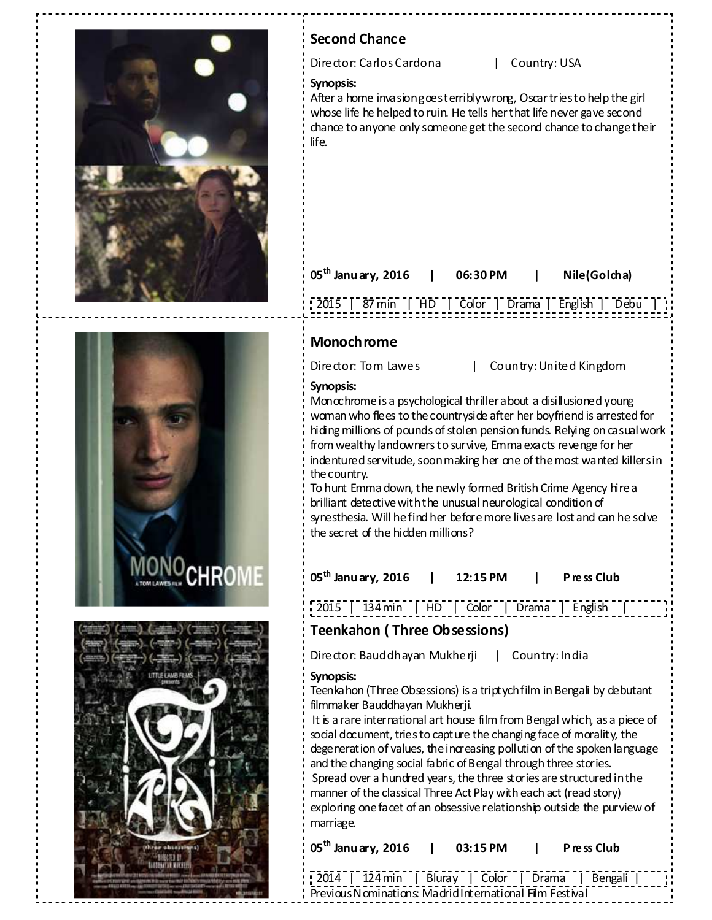





# **Second Chance**  Director: Carlos Cardona | Country: USA **Synopsis:** After a home invasion goesterribly wrong, Oscar tries to help the girl whose life he helped to ruin. He tells her that life never gave second chance to anyone only someone get the second chance to change their life. **05th Janu ary, 2016 | 06:30 PM | Nile(Golcha)**  2015 | 87 min | HD | Color | Drama | English | Debu | **Monochrome**  Director: Tom Lawes | Country: United Kingdom **Synopsis:** Monochrome is a psychological thriller about a disillusioned young woman who flees to the countryside after her boyfriend is arrested for hiding millions of pounds of stolen pension funds. Relying on casual work from wealthy landowners to survive, Emma exacts revenge for her indentured servitude, soon making her one of the most wanted killers in the country. To hunt Emma down, the newly formed British Crime Agency hire a brilliant detective with the unusual neurological condition of synesthesia. Will he find her before more lives are lost and can he solve the secret of the hidden millions? **05th Janu ary, 2016 | 12:15 PM | P ress Club**  2015 | 134 min | HD | Color | Drama | English | **Teenkahon ( Three Obsessions)** Director: Bauddhayan Mukherji | Country: India **Synopsis:** Teenkahon (Three Obsessions) is a triptych film in Bengali by debutant filmmaker Bauddhayan Mukherji. It is a rare international art house film from Bengal which, as a piece of social document, tries to capture the changing face of morality, the degeneration of values, the increasing pollution of the spoken language and the changing social fabric of Bengal through three stories. Spread over a hundred years, the three stories are structured in the manner of the classical Three Act Play with each act (read story) exploring one facet of an obsessive relationship outside the purview of marriage. **05th Janu ary, 2016 | 03:15 PM | P ress Club**

2014 | 124 min | Bluray | Color | Drama | Bengali |

Previous Nominations: Madrid International Film Festival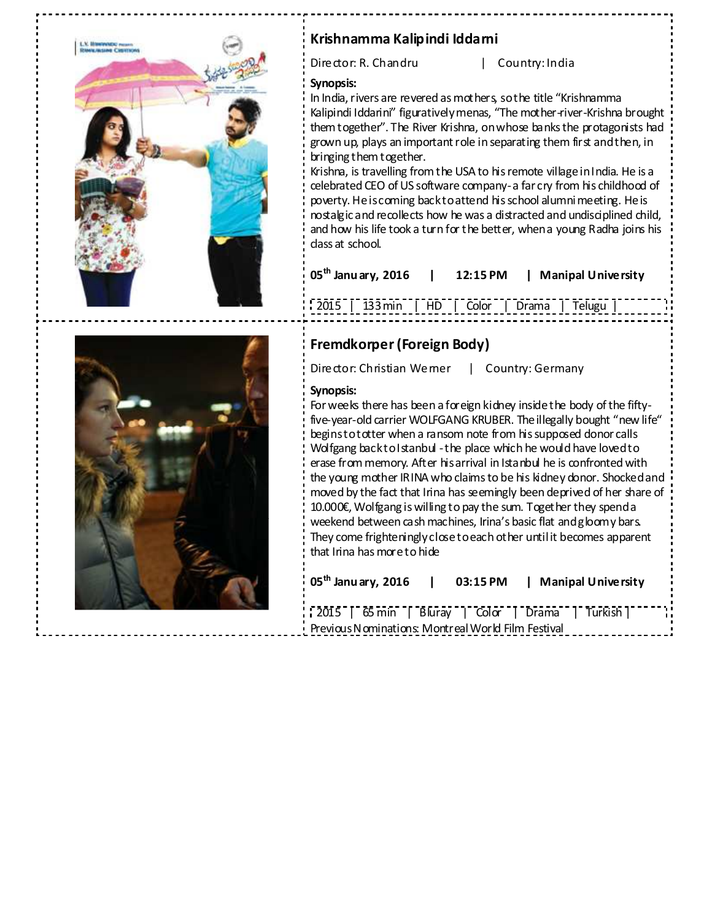

# **Krishnamma Kalipindi Iddarni**

Director: R. Chandru | Country: India

### **Synopsis:**

In India, rivers are revered as mothers, so the title "Krishnamma Kalipindi Iddarini" figuratively menas, "The mother-river-Krishna brought them together". The River Krishna, on whose banks the protagonists had grown up, plays an important role in separating them first and then, in bringing them together.

Krishna, is travelling from the USA to his remote village in India. He is a celebrated CEO of US software company- a far cry from his childhood of poverty. He is coming back to attend his school alumni meeting. He is nostalgic and recollects how he was a distracted and undisciplined child, and how his life took a turn for the better, when a young Radha joins his class at school.

| $05^{\text{th}}$ Janu ary, 2016 | 12:15 PM | <b>Manipal University</b> |
|---------------------------------|----------|---------------------------|
|---------------------------------|----------|---------------------------|

133 min | HD | Color | Drama | Telugu



# **Fremdkorper (Foreign Body)**

Director: Christian Werner | Country: Germany

### **Synopsis:**

For weeks there has been a foreign kidney inside the body of the fiftyfive-year-old carrier WOLFGANG KRUBER. The illegally bought "new life" begins to totter when a ransom note from his supposed donor calls Wolfgang back to I stanbul - the place which he would have loved to erase from memory. After his arrival in Istanbul he is confronted with the young mother IRINA who claims to be his kidney donor. Shocked and moved by the fact that Irina has seemingly been deprived of her share of 10.000€, Wolfgang is willing to pay the sum. Together they spend a weekend between cash machines, Irina's basic flat and gloomy bars. They come frighteningly close to each other until it becomes apparent that Irina has more to hide

| $^{\prime}$ 05 $^{\rm th}$ Janu ary, 2016          |  |  | 03:15 PM   Manipal University |  |
|----------------------------------------------------|--|--|-------------------------------|--|
|                                                    |  |  |                               |  |
| Previous Nominations: Montreal World Film Festival |  |  |                               |  |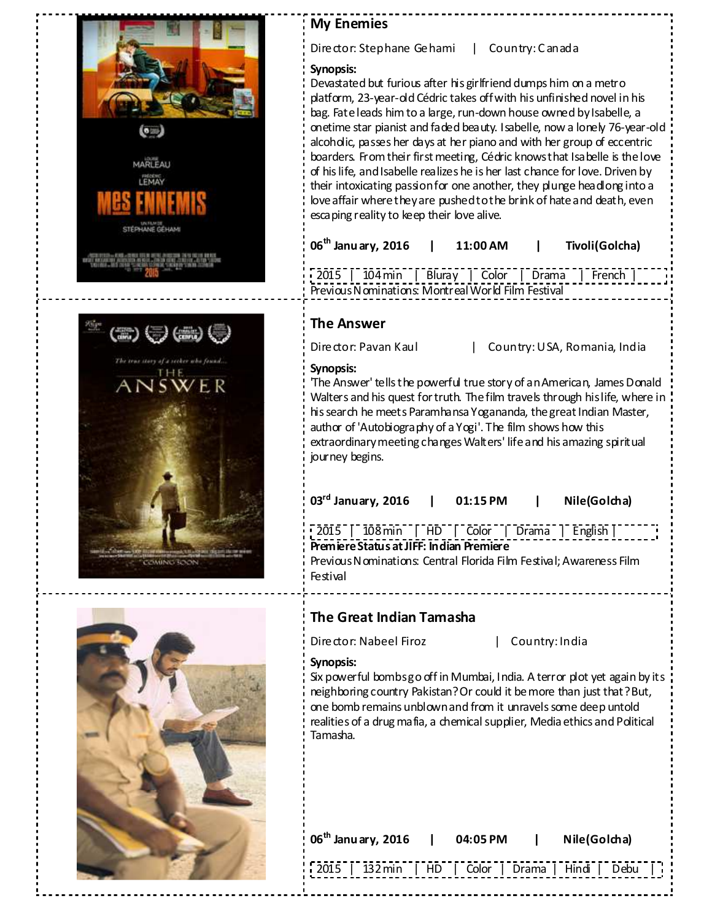





Director: Stephane Gehami | Country: C anada

### **Synopsis:**

Devastated but furious after his girlfriend dumps him on a metro platform, 23-year-old Cédric takes off with his unfinished novel in his bag. Fate leads him to a large, run-down house owned by Isabelle, a onetime star pianist and faded beauty. Isabelle, now a lonely 76-year-old alcoholic, passes her days at her piano and with her group of eccentric boarders. From their first meeting, Cédric knows that Isabelle is the love of his life, and Isabelle realizes he is her last chance for love. Driven by their intoxicating passion for one another, they plunge headlong into a love affair where they are pushed to the brink of hate and death, even escaping reality to keep their love alive.

| $06^{\text{th}}$ Janu ary, 2016 | 11:00 AM | Tivoli(Golcha) |
|---------------------------------|----------|----------------|
|                                 |          |                |

2015 | 104 min | Bluray | Color | Drama | French | Previous Nominations: Montreal World Film Festival

# **The Answer**

Director: Pavan Kaul | Country: USA, Romania, India

### **Synopsis:**

'The Answer' tells the powerful true story of an American, James Donald Walters and his quest for truth. The film travels through his life, where in his search he meets Paramhansa Yogananda, the great Indian Master, author of 'Autobiography of a Yogi'. The film shows how this extraordinary meeting changes Walters' life and his amazing spiritual journey begins.

| $03^{\text{rd}}$ January, 2016 | 01:15 PM | Nile(Golcha) |
|--------------------------------|----------|--------------|
|                                |          |              |

2015 | 108 min | HD | Color | Drama | English | **Premiere Status at JIFF: Indian Premiere**  Previous Nominations: Central Florida Film Festival; Awareness Film Festival

# **The Great Indian Tamasha**

Director: Nabeel Firoz | Country: India

### **Synopsis:**

Six powerful bombs go off in Mumbai, India. A terror plot yet again by its neighboring country Pakistan? Or could it be more than just that? But, one bomb remains unblown and from it unravels some deep untold realities of a drug mafia, a chemical supplier, Media ethics and Political Tamasha.

| 06 <sup>th</sup> Janu ary, 2016   04:05 PM |  | Nile(Golcha)                                        |
|--------------------------------------------|--|-----------------------------------------------------|
|                                            |  | [2015   132 min   HD   Color   Drama   Hindi   Debu |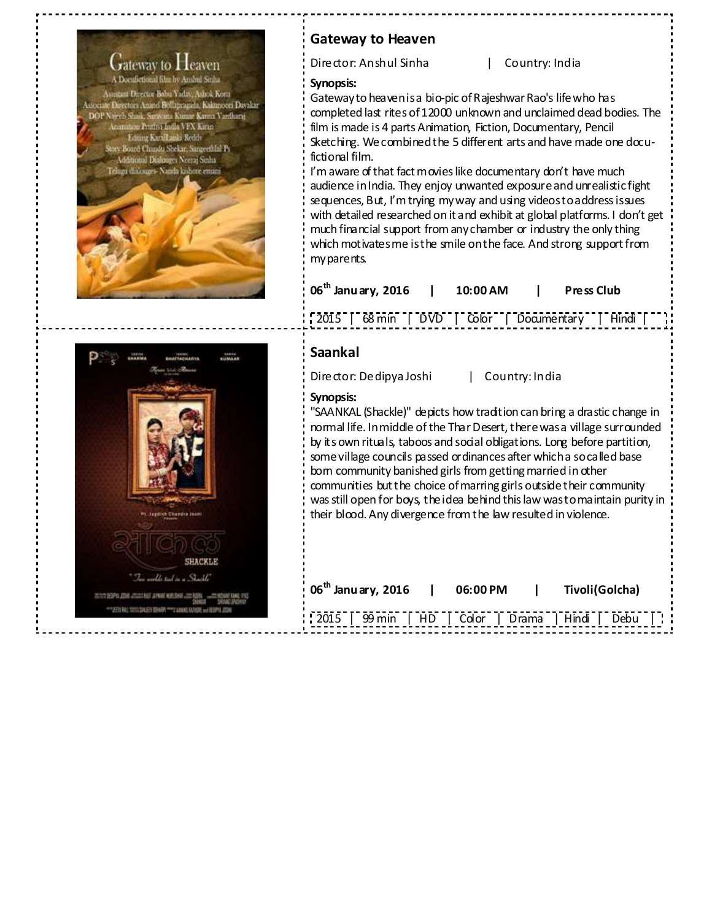

# **Gateway to Heaven**

Director: Anshul Sinha | Country: India

### **Synopsis:**

Gateway to heaven is a bio-pic of Rajeshwar Rao's life who has completed last rites of 12000 unknown and unclaimed dead bodies. The film is made is 4 parts Animation, Fiction, Documentary, Pencil Sketching. We combined the 5 different arts and have made one docufictional film.

I'm aware of that fact movies like documentary don't have much audience in India. They enjoy unwanted exposure and unrealistic fight sequences, But, I'm trying my way and using videos to address issues with detailed researched on it and exhibit at global platforms. I don't get much financial support from any chamber or industry the only thing which motivates me is the smile on the face. And strong support from my parents.

| $106^{\text{th}}$ Janu ary, 2016 | 10:00 AM | Press Club |
|----------------------------------|----------|------------|
|                                  |          |            |



## **Saankal**

Director: Dedipya Joshi | Country: India

### **Synopsis:**

"SAANKAL (Shackle)" depicts how tradition can bring a drastic change in normal life. In middle of the Thar Desert, there was a village surrounded by its own rituals, taboos and social obligations. Long before partition, some village councils passed ordinances after which a so called base born community banished girls from getting married in other communities but the choice of marring girls outside their community was still open for boys, the idea behind this law was to maintain purity in their blood. Any divergence from the law resulted in violence.

| $106^{\text{th}}$ Janu ary, 2016 | 06:00 PM | Tivoli(Golcha)                                    |
|----------------------------------|----------|---------------------------------------------------|
|                                  |          | 2015   99 min   HD   Color   Drama   Hindi   Debu |

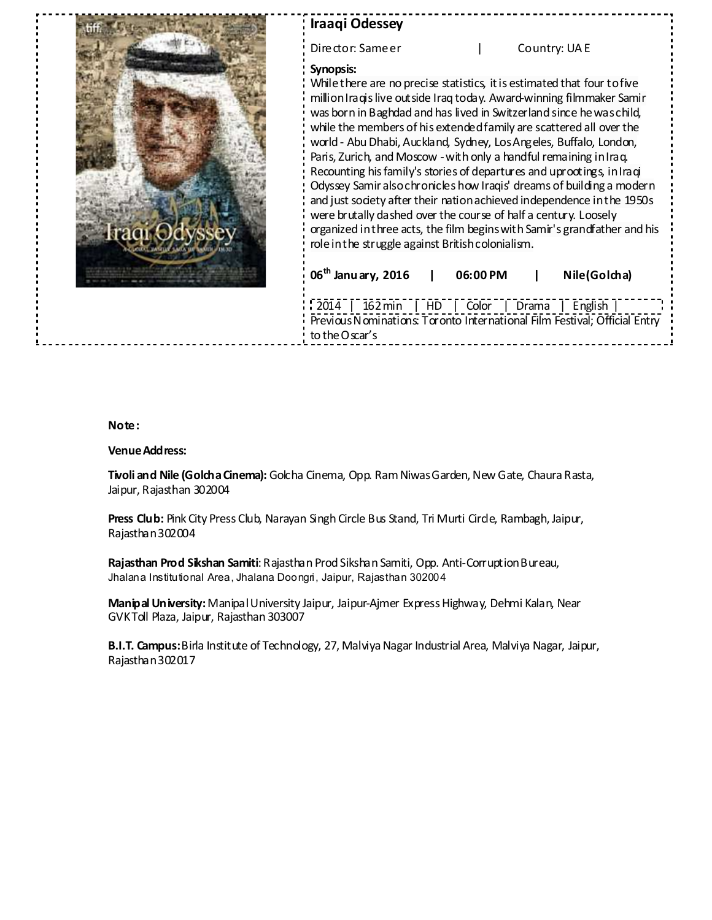| <b>Iraaqi Odessey</b>                                                                                                                                                                                                                                                                                                                                                                                                                                                                                                                                                                                                                                                                                                                                                                                                                                                                        |
|----------------------------------------------------------------------------------------------------------------------------------------------------------------------------------------------------------------------------------------------------------------------------------------------------------------------------------------------------------------------------------------------------------------------------------------------------------------------------------------------------------------------------------------------------------------------------------------------------------------------------------------------------------------------------------------------------------------------------------------------------------------------------------------------------------------------------------------------------------------------------------------------|
| Director: Sameer<br>Country: UAE                                                                                                                                                                                                                                                                                                                                                                                                                                                                                                                                                                                                                                                                                                                                                                                                                                                             |
| Synopsis:<br>While there are no precise statistics, it is estimated that four to five<br>million Iraqis live out side Iraq today. Award-winning filmmaker Samir<br>was born in Baghdad and has lived in Switzerland since he was child,<br>while the members of his extended family are scattered all over the<br>world - Abu Dhabi, Auckland, Sydney, Los Angeles, Buffalo, London,<br>Paris, Zurich, and Moscow - with only a handful remaining in Iraq.<br>Recounting his family's stories of departures and uprootings, in Iraqi<br>Odyssey Samir also chronicles how Iraqis' dreams of building a modern<br>and just society after their nation achieved independence in the 1950s<br>were brutally dashed over the course of half a century. Loosely<br>organized in three acts, the film begins with Samir's grandfather and his<br>role in the struggle against British colonialism. |
| 06 <sup>th</sup> Janu ary, 2016<br>Nile(Golcha)<br>06:00 PM                                                                                                                                                                                                                                                                                                                                                                                                                                                                                                                                                                                                                                                                                                                                                                                                                                  |
| $2014$  <br>$162 \text{min}$   HD   Color  <br>Drama  <br>English<br>Previous Nominations: Toronto International Film Festival; Official Entry<br>to the Oscar's                                                                                                                                                                                                                                                                                                                                                                                                                                                                                                                                                                                                                                                                                                                             |

### **Note:**

### **Venue Address:**

**Tivoli and Nile (Golcha Cinema):** Golcha Cinema, Opp. Ram Niwas Garden, New Gate, Chaura Rasta, Jaipur, Rajasthan 302004

Press Club: Pink City Press Club, Narayan Singh Circle Bus Stand, Tri Murti Circle, Rambagh, Jaipur, Rajasthan 302004

**Rajasthan Prod Sikshan Samiti**: Rajasthan Prod Sikshan Samiti, Opp. Anti-Corruption Bureau, Jhalana Institutional Area, Jhalana Doongri, Jaipur, Rajasthan 302004

**Manipal University:** Manipal University Jaipur, Jaipur-Ajmer Express Highway, Dehmi Kalan, Near GVK Toll Plaza, Jaipur, Rajasthan 303007

**B.I.T. Campus:** Birla Institute of Technology, 27, Malviya Nagar Industrial Area, Malviya Nagar, Jaipur, Rajasthan 302017